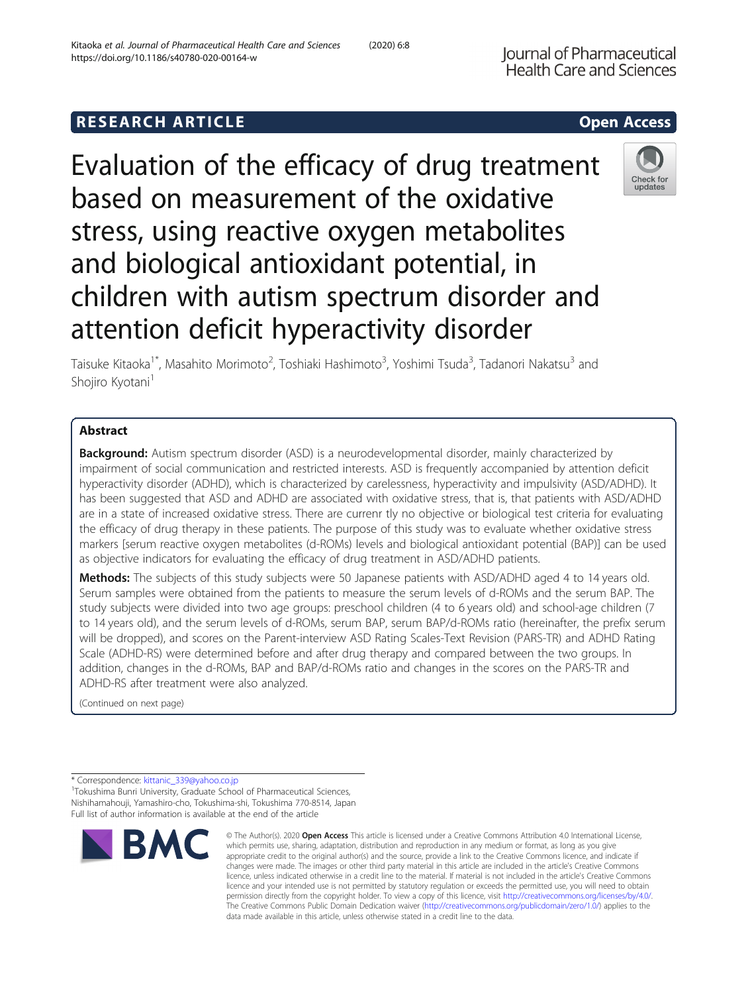# **RESEARCH ARTICLE Example 2014 CONSIDERING CONSIDERING CONSIDERING CONSIDERING CONSIDERING CONSIDERING CONSIDERING CONSIDERING CONSIDERING CONSIDERING CONSIDERING CONSIDERING CONSIDERING CONSIDERING CONSIDERING CONSIDE**

Evaluation of the efficacy of drug treatment based on measurement of the oxidative stress, using reactive oxygen metabolites and biological antioxidant potential, in children with autism spectrum disorder and attention deficit hyperactivity disorder

Taisuke Kitaoka<sup>1\*</sup>, Masahito Morimoto<sup>2</sup>, Toshiaki Hashimoto<sup>3</sup>, Yoshimi Tsuda<sup>3</sup>, Tadanori Nakatsu<sup>3</sup> and Shojiro Kyotani<sup>1</sup>

# Abstract

**Background:** Autism spectrum disorder (ASD) is a neurodevelopmental disorder, mainly characterized by impairment of social communication and restricted interests. ASD is frequently accompanied by attention deficit hyperactivity disorder (ADHD), which is characterized by carelessness, hyperactivity and impulsivity (ASD/ADHD). It has been suggested that ASD and ADHD are associated with oxidative stress, that is, that patients with ASD/ADHD are in a state of increased oxidative stress. There are currenr tly no objective or biological test criteria for evaluating the efficacy of drug therapy in these patients. The purpose of this study was to evaluate whether oxidative stress markers [serum reactive oxygen metabolites (d-ROMs) levels and biological antioxidant potential (BAP)] can be used as objective indicators for evaluating the efficacy of drug treatment in ASD/ADHD patients.

Methods: The subjects of this study subjects were 50 Japanese patients with ASD/ADHD aged 4 to 14 years old. Serum samples were obtained from the patients to measure the serum levels of d-ROMs and the serum BAP. The study subjects were divided into two age groups: preschool children (4 to 6 years old) and school-age children (7 to 14 years old), and the serum levels of d-ROMs, serum BAP, serum BAP/d-ROMs ratio (hereinafter, the prefix serum will be dropped), and scores on the Parent-interview ASD Rating Scales-Text Revision (PARS-TR) and ADHD Rating Scale (ADHD-RS) were determined before and after drug therapy and compared between the two groups. In addition, changes in the d-ROMs, BAP and BAP/d-ROMs ratio and changes in the scores on the PARS-TR and ADHD-RS after treatment were also analyzed.

data made available in this article, unless otherwise stated in a credit line to the data.

(Continued on next page)

\* Correspondence: [kittanic\\_339@yahoo.co.jp](mailto:kittanic_339@yahoo.co.jp) <sup>1</sup>

<sup>1</sup>Tokushima Bunri University, Graduate School of Pharmaceutical Sciences, Nishihamahouji, Yamashiro-cho, Tokushima-shi, Tokushima 770-8514, Japan Full list of author information is available at the end of the article



© The Author(s), 2020 **Open Access** This article is licensed under a Creative Commons Attribution 4.0 International License, which permits use, sharing, adaptation, distribution and reproduction in any medium or format, as long as you give appropriate credit to the original author(s) and the source, provide a link to the Creative Commons licence, and indicate if changes were made. The images or other third party material in this article are included in the article's Creative Commons licence, unless indicated otherwise in a credit line to the material. If material is not included in the article's Creative Commons licence and your intended use is not permitted by statutory regulation or exceeds the permitted use, you will need to obtain permission directly from the copyright holder. To view a copy of this licence, visit [http://creativecommons.org/licenses/by/4.0/.](http://creativecommons.org/licenses/by/4.0/) The Creative Commons Public Domain Dedication waiver [\(http://creativecommons.org/publicdomain/zero/1.0/](http://creativecommons.org/publicdomain/zero/1.0/)) applies to the



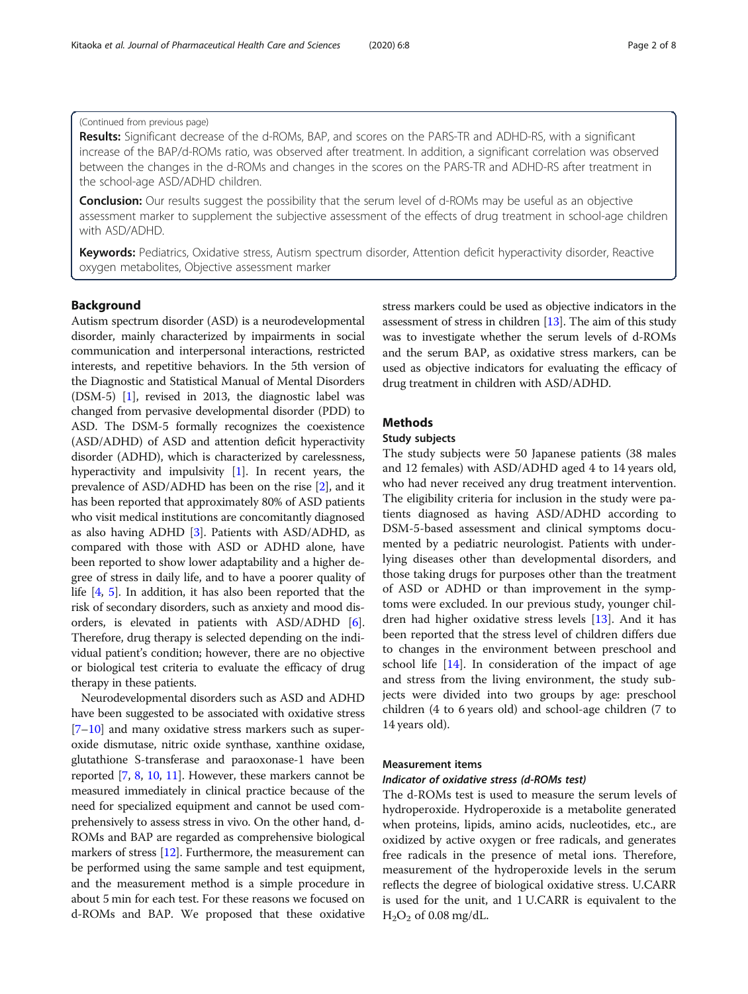Results: Significant decrease of the d-ROMs, BAP, and scores on the PARS-TR and ADHD-RS, with a significant increase of the BAP/d-ROMs ratio, was observed after treatment. In addition, a significant correlation was observed between the changes in the d-ROMs and changes in the scores on the PARS-TR and ADHD-RS after treatment in the school-age ASD/ADHD children.

**Conclusion:** Our results suggest the possibility that the serum level of d-ROMs may be useful as an objective assessment marker to supplement the subjective assessment of the effects of drug treatment in school-age children with ASD/ADHD.

Keywords: Pediatrics, Oxidative stress, Autism spectrum disorder, Attention deficit hyperactivity disorder, Reactive oxygen metabolites, Objective assessment marker

# Background

Autism spectrum disorder (ASD) is a neurodevelopmental disorder, mainly characterized by impairments in social communication and interpersonal interactions, restricted interests, and repetitive behaviors. In the 5th version of the Diagnostic and Statistical Manual of Mental Disorders (DSM-5) [\[1](#page-6-0)], revised in 2013, the diagnostic label was changed from pervasive developmental disorder (PDD) to ASD. The DSM-5 formally recognizes the coexistence (ASD/ADHD) of ASD and attention deficit hyperactivity disorder (ADHD), which is characterized by carelessness, hyperactivity and impulsivity [[1\]](#page-6-0). In recent years, the prevalence of ASD/ADHD has been on the rise [\[2\]](#page-6-0), and it has been reported that approximately 80% of ASD patients who visit medical institutions are concomitantly diagnosed as also having ADHD [\[3](#page-6-0)]. Patients with ASD/ADHD, as compared with those with ASD or ADHD alone, have been reported to show lower adaptability and a higher degree of stress in daily life, and to have a poorer quality of life [[4,](#page-6-0) [5](#page-6-0)]. In addition, it has also been reported that the risk of secondary disorders, such as anxiety and mood disorders, is elevated in patients with ASD/ADHD [[6](#page-6-0)]. Therefore, drug therapy is selected depending on the individual patient's condition; however, there are no objective or biological test criteria to evaluate the efficacy of drug therapy in these patients.

Neurodevelopmental disorders such as ASD and ADHD have been suggested to be associated with oxidative stress [[7](#page-6-0)–[10](#page-6-0)] and many oxidative stress markers such as superoxide dismutase, nitric oxide synthase, xanthine oxidase, glutathione S-transferase and paraoxonase-1 have been reported [\[7,](#page-6-0) [8,](#page-6-0) [10,](#page-6-0) [11\]](#page-6-0). However, these markers cannot be measured immediately in clinical practice because of the need for specialized equipment and cannot be used comprehensively to assess stress in vivo. On the other hand, d-ROMs and BAP are regarded as comprehensive biological markers of stress [\[12](#page-6-0)]. Furthermore, the measurement can be performed using the same sample and test equipment, and the measurement method is a simple procedure in about 5 min for each test. For these reasons we focused on d-ROMs and BAP. We proposed that these oxidative stress markers could be used as objective indicators in the assessment of stress in children [[13](#page-6-0)]. The aim of this study was to investigate whether the serum levels of d-ROMs and the serum BAP, as oxidative stress markers, can be used as objective indicators for evaluating the efficacy of drug treatment in children with ASD/ADHD.

# **Methods**

# Study subjects

The study subjects were 50 Japanese patients (38 males and 12 females) with ASD/ADHD aged 4 to 14 years old, who had never received any drug treatment intervention. The eligibility criteria for inclusion in the study were patients diagnosed as having ASD/ADHD according to DSM-5-based assessment and clinical symptoms documented by a pediatric neurologist. Patients with underlying diseases other than developmental disorders, and those taking drugs for purposes other than the treatment of ASD or ADHD or than improvement in the symptoms were excluded. In our previous study, younger children had higher oxidative stress levels [\[13\]](#page-6-0). And it has been reported that the stress level of children differs due to changes in the environment between preschool and school life [\[14\]](#page-6-0). In consideration of the impact of age and stress from the living environment, the study subjects were divided into two groups by age: preschool children (4 to 6 years old) and school-age children (7 to 14 years old).

#### Measurement items

## Indicator of oxidative stress (d-ROMs test)

The d-ROMs test is used to measure the serum levels of hydroperoxide. Hydroperoxide is a metabolite generated when proteins, lipids, amino acids, nucleotides, etc., are oxidized by active oxygen or free radicals, and generates free radicals in the presence of metal ions. Therefore, measurement of the hydroperoxide levels in the serum reflects the degree of biological oxidative stress. U.CARR is used for the unit, and 1 U.CARR is equivalent to the  $H<sub>2</sub>O<sub>2</sub>$  of 0.08 mg/dL.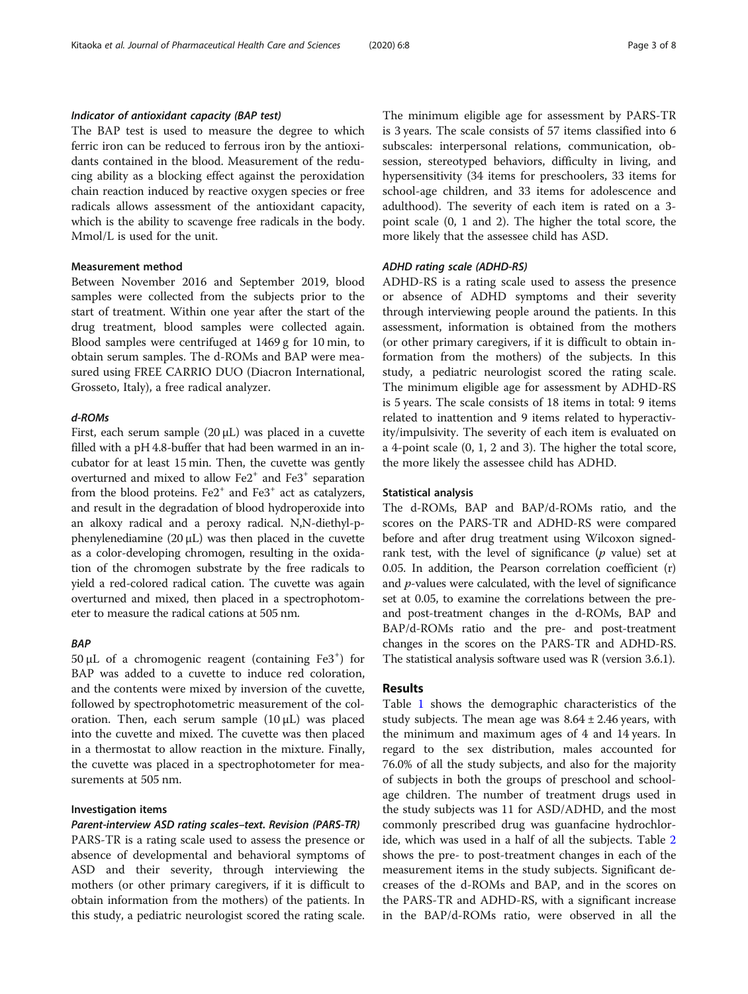## Indicator of antioxidant capacity (BAP test)

The BAP test is used to measure the degree to which ferric iron can be reduced to ferrous iron by the antioxidants contained in the blood. Measurement of the reducing ability as a blocking effect against the peroxidation chain reaction induced by reactive oxygen species or free radicals allows assessment of the antioxidant capacity, which is the ability to scavenge free radicals in the body. Μmol/L is used for the unit.

# Measurement method

Between November 2016 and September 2019, blood samples were collected from the subjects prior to the start of treatment. Within one year after the start of the drug treatment, blood samples were collected again. Blood samples were centrifuged at 1469 g for 10 min, to obtain serum samples. The d-ROMs and BAP were measured using FREE CARRIO DUO (Diacron International, Grosseto, Italy), a free radical analyzer.

# d-ROMs

First, each serum sample  $(20 \mu L)$  was placed in a cuvette filled with a pH 4.8-buffer that had been warmed in an incubator for at least 15 min. Then, the cuvette was gently overturned and mixed to allow Fe2<sup>+</sup> and Fe3<sup>+</sup> separation from the blood proteins.  $Fe2^+$  and  $Fe3^+$  act as catalyzers, and result in the degradation of blood hydroperoxide into an alkoxy radical and a peroxy radical. N,N-diethyl-pphenylenediamine  $(20 \mu L)$  was then placed in the cuvette as a color-developing chromogen, resulting in the oxidation of the chromogen substrate by the free radicals to yield a red-colored radical cation. The cuvette was again overturned and mixed, then placed in a spectrophotometer to measure the radical cations at 505 nm.

# BAP

50 μL of a chromogenic reagent (containing Fe3<sup>+</sup> ) for BAP was added to a cuvette to induce red coloration, and the contents were mixed by inversion of the cuvette, followed by spectrophotometric measurement of the coloration. Then, each serum sample  $(10 \mu L)$  was placed into the cuvette and mixed. The cuvette was then placed in a thermostat to allow reaction in the mixture. Finally, the cuvette was placed in a spectrophotometer for measurements at 505 nm.

### Investigation items

# Parent-interview ASD rating scales–text. Revision (PARS-TR)

PARS-TR is a rating scale used to assess the presence or absence of developmental and behavioral symptoms of ASD and their severity, through interviewing the mothers (or other primary caregivers, if it is difficult to obtain information from the mothers) of the patients. In this study, a pediatric neurologist scored the rating scale.

The minimum eligible age for assessment by PARS-TR is 3 years. The scale consists of 57 items classified into 6 subscales: interpersonal relations, communication, obsession, stereotyped behaviors, difficulty in living, and hypersensitivity (34 items for preschoolers, 33 items for school-age children, and 33 items for adolescence and adulthood). The severity of each item is rated on a 3 point scale (0, 1 and 2). The higher the total score, the more likely that the assessee child has ASD.

## ADHD rating scale (ADHD-RS)

ADHD-RS is a rating scale used to assess the presence or absence of ADHD symptoms and their severity through interviewing people around the patients. In this assessment, information is obtained from the mothers (or other primary caregivers, if it is difficult to obtain information from the mothers) of the subjects. In this study, a pediatric neurologist scored the rating scale. The minimum eligible age for assessment by ADHD-RS is 5 years. The scale consists of 18 items in total: 9 items related to inattention and 9 items related to hyperactivity/impulsivity. The severity of each item is evaluated on a 4-point scale (0, 1, 2 and 3). The higher the total score, the more likely the assessee child has ADHD.

## Statistical analysis

The d-ROMs, BAP and BAP/d-ROMs ratio, and the scores on the PARS-TR and ADHD-RS were compared before and after drug treatment using Wilcoxon signedrank test, with the level of significance  $(p \text{ value})$  set at 0.05. In addition, the Pearson correlation coefficient (r) and p-values were calculated, with the level of significance set at 0.05, to examine the correlations between the preand post-treatment changes in the d-ROMs, BAP and BAP/d-ROMs ratio and the pre- and post-treatment changes in the scores on the PARS-TR and ADHD-RS. The statistical analysis software used was R (version 3.6.1).

# Results

Table [1](#page-3-0) shows the demographic characteristics of the study subjects. The mean age was  $8.64 \pm 2.46$  years, with the minimum and maximum ages of 4 and 14 years. In regard to the sex distribution, males accounted for 76.0% of all the study subjects, and also for the majority of subjects in both the groups of preschool and schoolage children. The number of treatment drugs used in the study subjects was 11 for ASD/ADHD, and the most commonly prescribed drug was guanfacine hydrochloride, which was used in a half of all the subjects. Table [2](#page-3-0) shows the pre- to post-treatment changes in each of the measurement items in the study subjects. Significant decreases of the d-ROMs and BAP, and in the scores on the PARS-TR and ADHD-RS, with a significant increase in the BAP/d-ROMs ratio, were observed in all the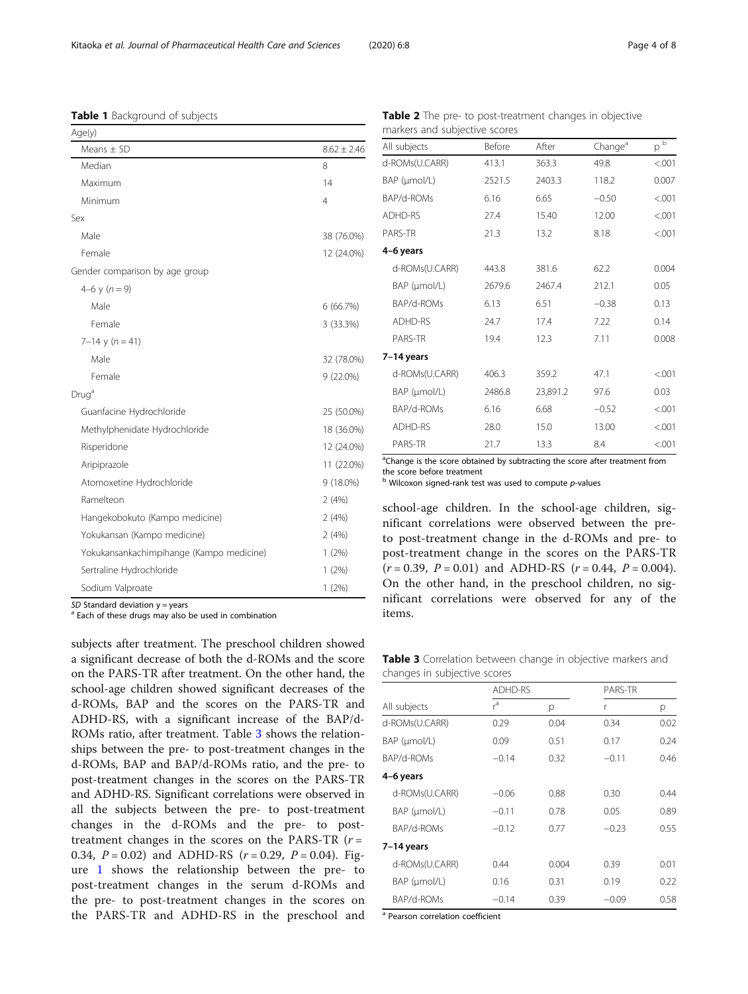*SD* Standard deviation y = years<br><sup>a</sup> Each of these drugs may also be used in combination

subjects after treatment. The preschool children showed a significant decrease of both the d-ROMs and the score on the PARS-TR after treatment. On the other hand, the school-age children showed significant decreases of the d-ROMs, BAP and the scores on the PARS-TR and ADHD-RS, with a significant increase of the BAP/d-ROMs ratio, after treatment. Table 3 shows the relationships between the pre- to post-treatment changes in the d-ROMs, BAP and BAP/d-ROMs ratio, and the pre- to post-treatment changes in the scores on the PARS-TR and ADHD-RS. Significant correlations were observed in all the subjects between the pre- to post-treatment changes in the d-ROMs and the pre- to posttreatment changes in the scores on the PARS-TR  $(r =$ 0.34,  $P = 0.02$ ) and ADHD-RS ( $r = 0.29$ ,  $P = 0.04$ ). Figure [1](#page-4-0) shows the relationship between the pre- to post-treatment changes in the serum d-ROMs and the pre- to post-treatment changes in the scores on the PARS-TR and ADHD-RS in the preschool and

<sup>a</sup>Change is the score obtained by subtracting the score after treatment from the score before treatment

 $^{\rm b}$  Wilcoxon signed-rank test was used to compute p-values

school-age children. In the school-age children, significant correlations were observed between the preto post-treatment change in the d-ROMs and pre- to post-treatment change in the scores on the PARS-TR  $(r = 0.39, P = 0.01)$  and ADHD-RS  $(r = 0.44, P = 0.004)$ . On the other hand, in the preschool children, no significant correlations were observed for any of the items.

| <b>Table 3</b> Correlation between change in objective markers and |  |
|--------------------------------------------------------------------|--|
| changes in subjective scores                                       |  |

|                      | <b>ADHD-RS</b> |       | PARS-TR |      |
|----------------------|----------------|-------|---------|------|
| All subjects         | r <sup>a</sup> | р     | r       | р    |
| d-ROMs(U.CARR)       | 0.29           | 0.04  | 0.34    | 0.02 |
| BAP (µmol/L)         | 0.09           | 0.51  | 0.17    | 0.24 |
| BAP/d-ROMs           | $-0.14$        | 0.32  | $-0.11$ | 0.46 |
| 4–6 years            |                |       |         |      |
| d-ROMs(U.CARR)       | $-0.06$        | 0.88  | 0.30    | 0.44 |
| $BAP$ ( $\mu$ mol/L) | $-0.11$        | 0.78  | 0.05    | 0.89 |
| BAP/d-ROMs           | $-0.12$        | 0.77  | $-0.23$ | 0.55 |
| 7-14 years           |                |       |         |      |
| d-ROMs(U.CARR)       | 0.44           | 0.004 | 0.39    | 0.01 |
| $BAP$ ( $\mu$ mol/L) | 0.16           | 0.31  | 0.19    | 0.22 |
| BAP/d-ROMs           | $-0.14$        | 0.39  | $-0.09$ | 0.58 |

<sup>a</sup> Pearson correlation coefficient

<span id="page-3-0"></span>Table 1 Background of subjects

| Age(y)                                   |                 |
|------------------------------------------|-----------------|
| Means $\pm$ SD                           | $8.62 \pm 2.46$ |
| Median                                   | 8               |
| Maximum                                  | 14              |
| Minimum                                  | 4               |
| Sex                                      |                 |
| Male                                     | 38 (76.0%)      |
| Female                                   | 12 (24.0%)      |
| Gender comparison by age group           |                 |
| 4–6 y ( $n = 9$ )                        |                 |
| Male                                     | 6 (66.7%)       |
| Female                                   | 3 (33.3%)       |
| $7-14$ y $(n = 41)$                      |                 |
| Male                                     | 32 (78.0%)      |
| Female                                   | $9(22.0\%)$     |
| Drug <sup>a</sup>                        |                 |
| Guanfacine Hydrochloride                 | 25 (50.0%)      |
| Methylphenidate Hydrochloride            | 18 (36.0%)      |
| Risperidone                              | 12 (24.0%)      |
| Aripiprazole                             | 11 (22.0%)      |
| Atomoxetine Hydrochloride                | 9 (18.0%)       |
| Ramelteon                                | 2(4%)           |
| Hangekobokuto (Kampo medicine)           | 2(4%)           |
| Yokukansan (Kampo medicine)              | 2(4%)           |
| Yokukansankachimpihange (Kampo medicine) | 1(2%)           |
| Sertraline Hydrochloride                 | 1(2%)           |
| Sodium Valproate                         | 1(2%)           |
| CD Created device:                       |                 |

| <b>Table 2</b> The pre- to post-treatment changes in objective |               |       |                     |                   |
|----------------------------------------------------------------|---------------|-------|---------------------|-------------------|
| markers and subjective scores                                  |               |       |                     |                   |
| All subjects                                                   | <b>Before</b> | After | Change <sup>a</sup> | $n^{\frac{1}{2}}$ |

| d-ROMs(U.CARR) | 413.1  | 363.3    | 49.8    | < .001 |
|----------------|--------|----------|---------|--------|
| BAP (µmol/L)   | 2521.5 | 2403.3   | 118.2   | 0.007  |
| BAP/d-ROMs     | 6.16   | 6.65     | $-0.50$ | < .001 |
| ADHD-RS        | 27.4   | 15.40    | 12.00   | < .001 |
| PARS-TR        | 21.3   | 13.2     | 8.18    | < .001 |
| 4-6 years      |        |          |         |        |
| d-ROMs(U.CARR) | 443.8  | 381.6    | 62.2    | 0.004  |
| BAP (µmol/L)   | 2679.6 | 2467.4   | 212.1   | 0.05   |
| BAP/d-ROMs     | 6.13   | 6.51     | $-0.38$ | 0.13   |
| ADHD-RS        | 24.7   | 17.4     | 7.22    | 0.14   |
| PARS-TR        | 19.4   | 12.3     | 7.11    | 0.008  |
| 7-14 years     |        |          |         |        |
| d-ROMs(U.CARR) | 406.3  | 359.2    | 47.1    | < .001 |
| BAP (µmol/L)   | 2486.8 | 23,891.2 | 97.6    | 0.03   |
| BAP/d-ROMs     | 6.16   | 6.68     | $-0.52$ | < .001 |
| ADHD-RS        | 28.0   | 15.0     | 13.00   | < .001 |
| PARS-TR        | 21.7   | 13.3     | 8.4     | < .001 |
|                |        |          |         |        |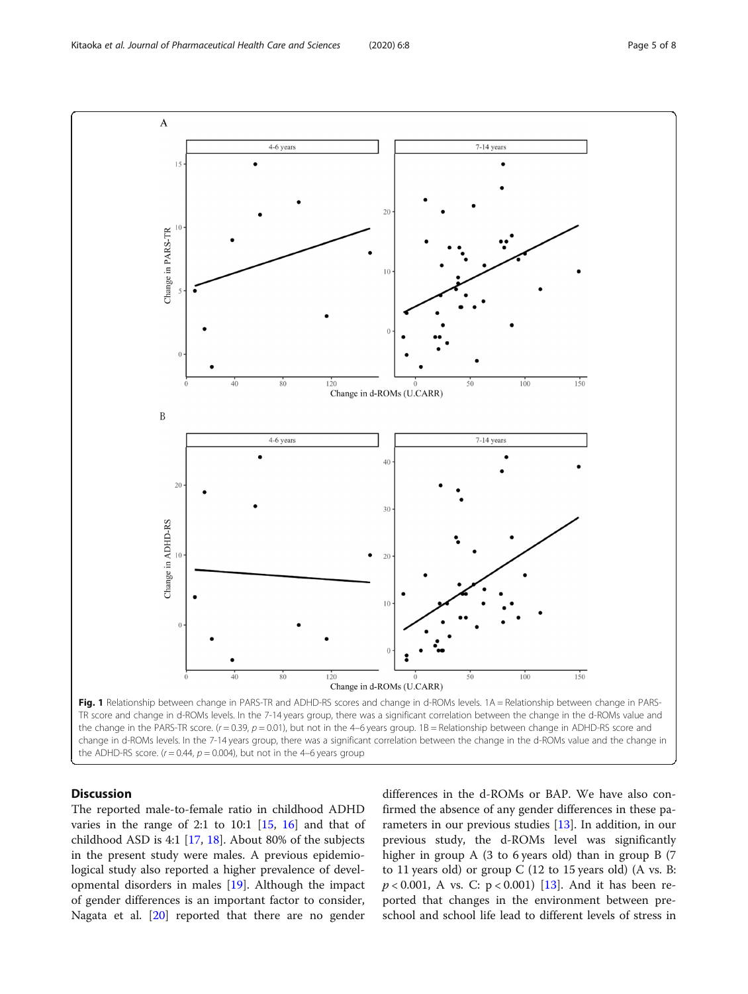<span id="page-4-0"></span>

# **Discussion**

The reported male-to-female ratio in childhood ADHD varies in the range of 2:1 to 10:1  $[15, 16]$  $[15, 16]$  $[15, 16]$  and that of childhood ASD is 4:1 [[17,](#page-6-0) [18\]](#page-6-0). About 80% of the subjects in the present study were males. A previous epidemiological study also reported a higher prevalence of developmental disorders in males [[19](#page-6-0)]. Although the impact of gender differences is an important factor to consider, Nagata et al. [[20](#page-6-0)] reported that there are no gender

differences in the d-ROMs or BAP. We have also confirmed the absence of any gender differences in these parameters in our previous studies [\[13](#page-6-0)]. In addition, in our previous study, the d-ROMs level was significantly higher in group A (3 to 6 years old) than in group B (7 to 11 years old) or group  $C$  (12 to 15 years old) (A vs. B:  $p < 0.001$ , A vs. C:  $p < 0.001$ ) [[13\]](#page-6-0). And it has been reported that changes in the environment between preschool and school life lead to different levels of stress in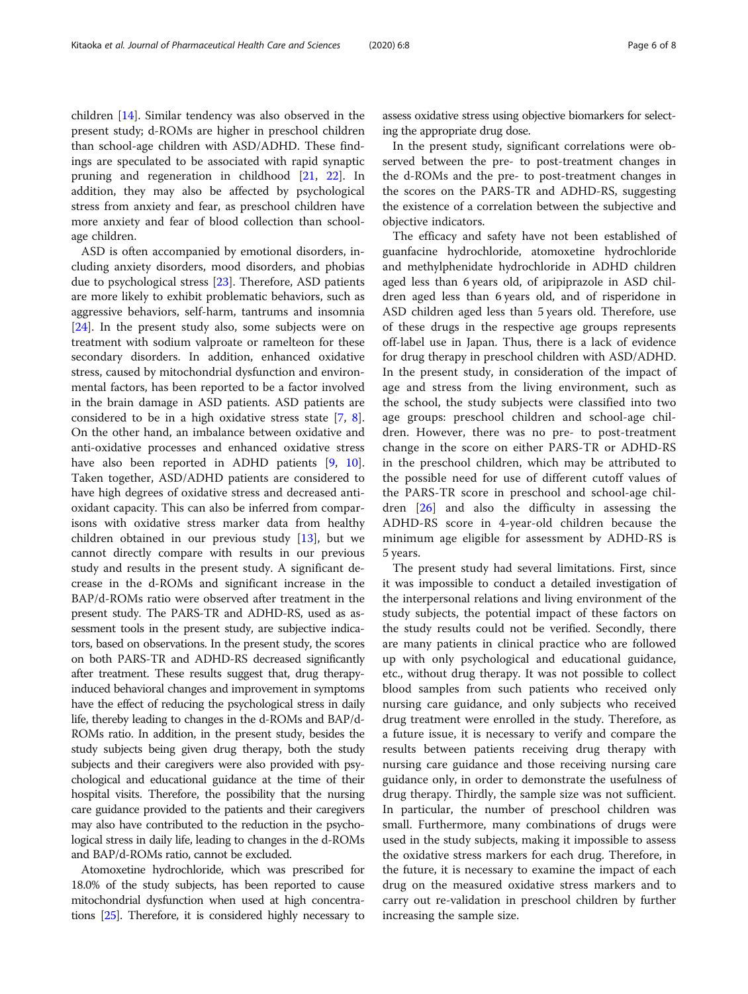children [[14\]](#page-6-0). Similar tendency was also observed in the present study; d-ROMs are higher in preschool children than school-age children with ASD/ADHD. These findings are speculated to be associated with rapid synaptic pruning and regeneration in childhood [\[21](#page-6-0), [22\]](#page-6-0). In addition, they may also be affected by psychological stress from anxiety and fear, as preschool children have more anxiety and fear of blood collection than schoolage children.

ASD is often accompanied by emotional disorders, including anxiety disorders, mood disorders, and phobias due to psychological stress [\[23](#page-6-0)]. Therefore, ASD patients are more likely to exhibit problematic behaviors, such as aggressive behaviors, self-harm, tantrums and insomnia [[24\]](#page-6-0). In the present study also, some subjects were on treatment with sodium valproate or ramelteon for these secondary disorders. In addition, enhanced oxidative stress, caused by mitochondrial dysfunction and environmental factors, has been reported to be a factor involved in the brain damage in ASD patients. ASD patients are considered to be in a high oxidative stress state [[7,](#page-6-0) [8](#page-6-0)]. On the other hand, an imbalance between oxidative and anti-oxidative processes and enhanced oxidative stress have also been reported in ADHD patients [[9,](#page-6-0) [10](#page-6-0)]. Taken together, ASD/ADHD patients are considered to have high degrees of oxidative stress and decreased antioxidant capacity. This can also be inferred from comparisons with oxidative stress marker data from healthy children obtained in our previous study [[13\]](#page-6-0), but we cannot directly compare with results in our previous study and results in the present study. A significant decrease in the d-ROMs and significant increase in the BAP/d-ROMs ratio were observed after treatment in the present study. The PARS-TR and ADHD-RS, used as assessment tools in the present study, are subjective indicators, based on observations. In the present study, the scores on both PARS-TR and ADHD-RS decreased significantly after treatment. These results suggest that, drug therapyinduced behavioral changes and improvement in symptoms have the effect of reducing the psychological stress in daily life, thereby leading to changes in the d-ROMs and BAP/d-ROMs ratio. In addition, in the present study, besides the study subjects being given drug therapy, both the study subjects and their caregivers were also provided with psychological and educational guidance at the time of their hospital visits. Therefore, the possibility that the nursing care guidance provided to the patients and their caregivers may also have contributed to the reduction in the psychological stress in daily life, leading to changes in the d-ROMs and BAP/d-ROMs ratio, cannot be excluded.

Atomoxetine hydrochloride, which was prescribed for 18.0% of the study subjects, has been reported to cause mitochondrial dysfunction when used at high concentrations [\[25\]](#page-7-0). Therefore, it is considered highly necessary to

assess oxidative stress using objective biomarkers for selecting the appropriate drug dose.

In the present study, significant correlations were observed between the pre- to post-treatment changes in the d-ROMs and the pre- to post-treatment changes in the scores on the PARS-TR and ADHD-RS, suggesting the existence of a correlation between the subjective and objective indicators.

The efficacy and safety have not been established of guanfacine hydrochloride, atomoxetine hydrochloride and methylphenidate hydrochloride in ADHD children aged less than 6 years old, of aripiprazole in ASD children aged less than 6 years old, and of risperidone in ASD children aged less than 5 years old. Therefore, use of these drugs in the respective age groups represents off-label use in Japan. Thus, there is a lack of evidence for drug therapy in preschool children with ASD/ADHD. In the present study, in consideration of the impact of age and stress from the living environment, such as the school, the study subjects were classified into two age groups: preschool children and school-age children. However, there was no pre- to post-treatment change in the score on either PARS-TR or ADHD-RS in the preschool children, which may be attributed to the possible need for use of different cutoff values of the PARS-TR score in preschool and school-age children [\[26](#page-7-0)] and also the difficulty in assessing the ADHD-RS score in 4-year-old children because the minimum age eligible for assessment by ADHD-RS is 5 years.

The present study had several limitations. First, since it was impossible to conduct a detailed investigation of the interpersonal relations and living environment of the study subjects, the potential impact of these factors on the study results could not be verified. Secondly, there are many patients in clinical practice who are followed up with only psychological and educational guidance, etc., without drug therapy. It was not possible to collect blood samples from such patients who received only nursing care guidance, and only subjects who received drug treatment were enrolled in the study. Therefore, as a future issue, it is necessary to verify and compare the results between patients receiving drug therapy with nursing care guidance and those receiving nursing care guidance only, in order to demonstrate the usefulness of drug therapy. Thirdly, the sample size was not sufficient. In particular, the number of preschool children was small. Furthermore, many combinations of drugs were used in the study subjects, making it impossible to assess the oxidative stress markers for each drug. Therefore, in the future, it is necessary to examine the impact of each drug on the measured oxidative stress markers and to carry out re-validation in preschool children by further increasing the sample size.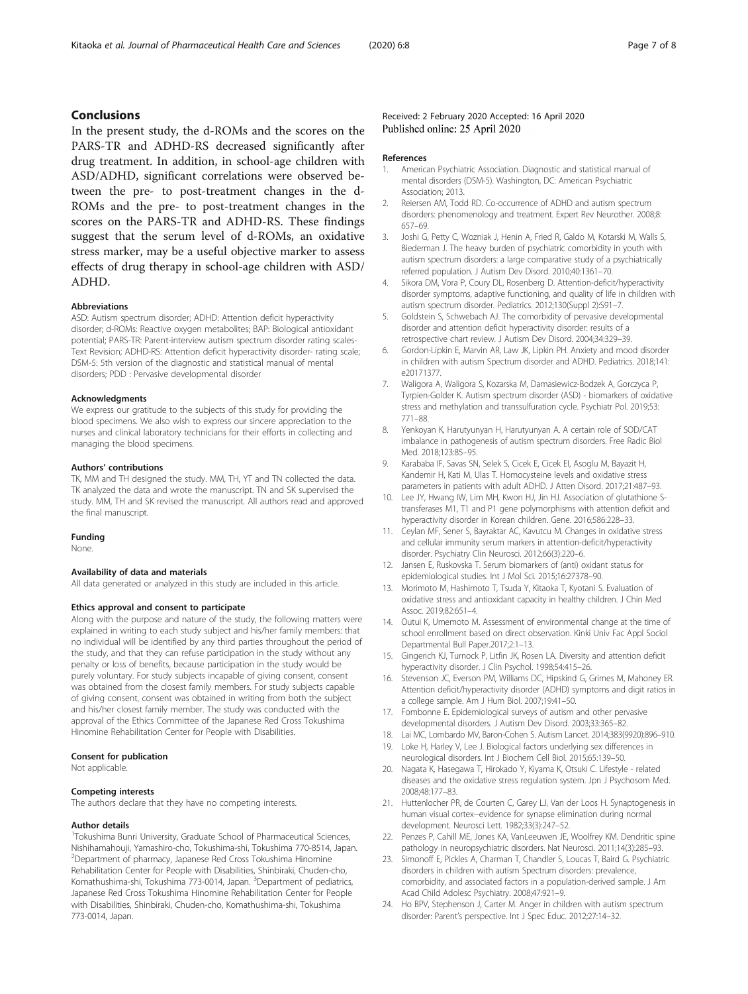# <span id="page-6-0"></span>Conclusions

In the present study, the d-ROMs and the scores on the PARS-TR and ADHD-RS decreased significantly after drug treatment. In addition, in school-age children with ASD/ADHD, significant correlations were observed between the pre- to post-treatment changes in the d-ROMs and the pre- to post-treatment changes in the scores on the PARS-TR and ADHD-RS. These findings suggest that the serum level of d-ROMs, an oxidative stress marker, may be a useful objective marker to assess effects of drug therapy in school-age children with ASD/ ADHD.

### Abbreviations

ASD: Autism spectrum disorder; ADHD: Attention deficit hyperactivity disorder; d-ROMs: Reactive oxygen metabolites; BAP: Biological antioxidant potential; PARS-TR: Parent-interview autism spectrum disorder rating scales-Text Revision; ADHD-RS: Attention deficit hyperactivity disorder- rating scale; DSM-5: 5th version of the diagnostic and statistical manual of mental disorders; PDD : Pervasive developmental disorder

#### Acknowledgments

We express our gratitude to the subjects of this study for providing the blood specimens. We also wish to express our sincere appreciation to the nurses and clinical laboratory technicians for their efforts in collecting and managing the blood specimens.

#### Authors' contributions

TK, MM and TH designed the study. MM, TH, YT and TN collected the data. TK analyzed the data and wrote the manuscript. TN and SK supervised the study. MM, TH and SK revised the manuscript. All authors read and approved the final manuscript.

#### Funding

None.

### Availability of data and materials

All data generated or analyzed in this study are included in this article.

### Ethics approval and consent to participate

Along with the purpose and nature of the study, the following matters were explained in writing to each study subject and his/her family members: that no individual will be identified by any third parties throughout the period of the study, and that they can refuse participation in the study without any penalty or loss of benefits, because participation in the study would be purely voluntary. For study subjects incapable of giving consent, consent was obtained from the closest family members. For study subjects capable of giving consent, consent was obtained in writing from both the subject and his/her closest family member. The study was conducted with the approval of the Ethics Committee of the Japanese Red Cross Tokushima Hinomine Rehabilitation Center for People with Disabilities.

### Consent for publication

Not applicable.

#### Competing interests

The authors declare that they have no competing interests.

#### Author details

<sup>1</sup>Tokushima Bunri University, Graduate School of Pharmaceutical Sciences, Nishihamahouji, Yamashiro-cho, Tokushima-shi, Tokushima 770-8514, Japan. 2 Department of pharmacy, Japanese Red Cross Tokushima Hinomine Rehabilitation Center for People with Disabilities, Shinbiraki, Chuden-cho, Komathushima-shi, Tokushima 773-0014, Japan. <sup>3</sup>Department of pediatrics, Japanese Red Cross Tokushima Hinomine Rehabilitation Center for People with Disabilities, Shinbiraki, Chuden-cho, Komathushima-shi, Tokushima 773-0014, Japan.

## Received: 2 February 2020 Accepted: 16 April 2020 Published online: 25 April 2020

#### References

- 1. American Psychiatric Association. Diagnostic and statistical manual of mental disorders (DSM-5). Washington, DC: American Psychiatric Association; 2013.
- 2. Reiersen AM, Todd RD. Co-occurrence of ADHD and autism spectrum disorders: phenomenology and treatment. Expert Rev Neurother. 2008;8: 657–69.
- 3. Joshi G, Petty C, Wozniak J, Henin A, Fried R, Galdo M, Kotarski M, Walls S, Biederman J. The heavy burden of psychiatric comorbidity in youth with autism spectrum disorders: a large comparative study of a psychiatrically referred population. J Autism Dev Disord. 2010;40:1361–70.
- 4. Sikora DM, Vora P, Coury DL, Rosenberg D. Attention-deficit/hyperactivity disorder symptoms, adaptive functioning, and quality of life in children with autism spectrum disorder. Pediatrics. 2012;130(Suppl 2):S91–7.
- 5. Goldstein S, Schwebach AJ. The comorbidity of pervasive developmental disorder and attention deficit hyperactivity disorder: results of a retrospective chart review. J Autism Dev Disord. 2004;34:329–39.
- 6. Gordon-Lipkin E, Marvin AR, Law JK, Lipkin PH. Anxiety and mood disorder in children with autism Spectrum disorder and ADHD. Pediatrics. 2018;141: e20171377.
- 7. Waligora A, Waligora S, Kozarska M, Damasiewicz-Bodzek A, Gorczyca P, Tyrpien-Golder K. Autism spectrum disorder (ASD) - biomarkers of oxidative stress and methylation and transsulfuration cycle. Psychiatr Pol. 2019;53: 771–88.
- Yenkoyan K, Harutyunyan H, Harutyunyan A. A certain role of SOD/CAT imbalance in pathogenesis of autism spectrum disorders. Free Radic Biol Med. 2018;123:85–95.
- 9. Karababa IF, Savas SN, Selek S, Cicek E, Cicek EI, Asoglu M, Bayazit H, Kandemir H, Kati M, Ulas T. Homocysteine levels and oxidative stress parameters in patients with adult ADHD. J Atten Disord. 2017;21:487–93.
- 10. Lee JY, Hwang IW, Lim MH, Kwon HJ, Jin HJ. Association of glutathione Stransferases M1, T1 and P1 gene polymorphisms with attention deficit and hyperactivity disorder in Korean children. Gene. 2016;586:228–33.
- 11. Ceylan MF, Sener S, Bayraktar AC, Kavutcu M. Changes in oxidative stress and cellular immunity serum markers in attention-deficit/hyperactivity disorder. Psychiatry Clin Neurosci. 2012;66(3):220–6.
- 12. Jansen E, Ruskovska T. Serum biomarkers of (anti) oxidant status for epidemiological studies. Int J Mol Sci. 2015;16:27378–90.
- 13. Morimoto M, Hashimoto T, Tsuda Y, Kitaoka T, Kyotani S. Evaluation of oxidative stress and antioxidant capacity in healthy children. J Chin Med Assoc. 2019;82:651–4.
- 14. Outui K, Umemoto M. Assessment of environmental change at the time of school enrollment based on direct observation. Kinki Univ Fac Appl Sociol Departmental Bull Paper.2017;2:1–13.
- 15. Gingerich KJ, Turnock P, Litfin JK, Rosen LA. Diversity and attention deficit hyperactivity disorder. J Clin Psychol. 1998;54:415–26.
- 16. Stevenson JC, Everson PM, Williams DC, Hipskind G, Grimes M, Mahoney ER. Attention deficit/hyperactivity disorder (ADHD) symptoms and digit ratios in a college sample. Am J Hum Biol. 2007;19:41–50.
- 17. Fombonne E. Epidemiological surveys of autism and other pervasive developmental disorders. J Autism Dev Disord. 2003;33:365–82.
- 18. Lai MC, Lombardo MV, Baron-Cohen S. Autism Lancet. 2014;383(9920):896–910.
- 19. Loke H, Harley V, Lee J. Biological factors underlying sex differences in neurological disorders. Int J Biochem Cell Biol. 2015;65:139–50.
- 20. Nagata K, Hasegawa T, Hirokado Y, Kiyama K, Otsuki C. Lifestyle related diseases and the oxidative stress regulation system. Jpn J Psychosom Med. 2008;48:177–83.
- 21. Huttenlocher PR, de Courten C, Garey LJ, Van der Loos H. Synaptogenesis in human visual cortex--evidence for synapse elimination during normal development. Neurosci Lett. 1982;33(3):247–52.
- 22. Penzes P, Cahill ME, Jones KA, VanLeeuwen JE, Woolfrey KM. Dendritic spine pathology in neuropsychiatric disorders. Nat Neurosci. 2011;14(3):285–93.
- 23. Simonoff E, Pickles A, Charman T, Chandler S, Loucas T, Baird G. Psychiatric disorders in children with autism Spectrum disorders: prevalence, comorbidity, and associated factors in a population-derived sample. J Am Acad Child Adolesc Psychiatry. 2008;47:921–9.
- 24. Ho BPV, Stephenson J, Carter M. Anger in children with autism spectrum disorder: Parent's perspective. Int J Spec Educ. 2012;27:14–32.